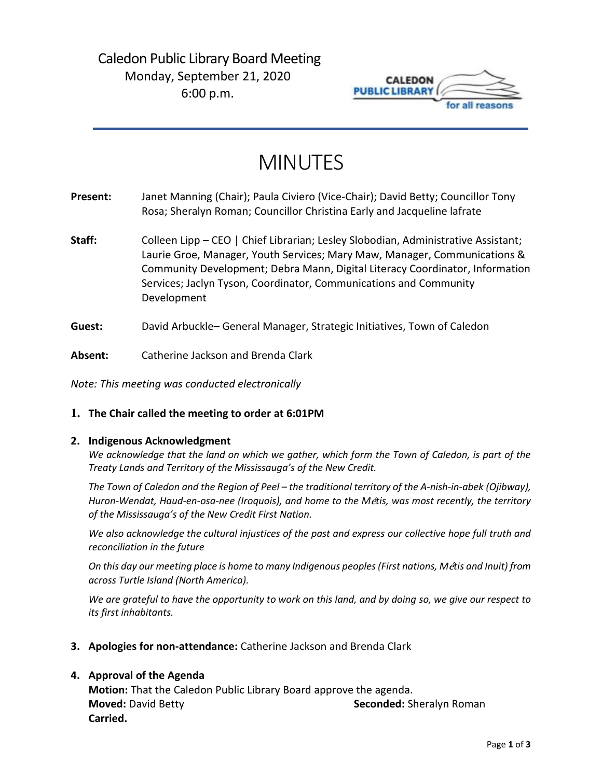

# MINUTES

- **Present:** Janet Manning (Chair); Paula Civiero (Vice-Chair); David Betty; Councillor Tony Rosa; Sheralyn Roman; Councillor Christina Early and Jacqueline lafrate
- Staff: Colleen Lipp CEO | Chief Librarian; Lesley Slobodian, Administrative Assistant; Laurie Groe, Manager, Youth Services; Mary Maw, Manager, Communications & Community Development; Debra Mann, Digital Literacy Coordinator, Information Services; Jaclyn Tyson, Coordinator, Communications and Community Development
- **Guest:** David Arbuckle– General Manager, Strategic Initiatives, Town of Caledon
- **Absent:** Catherine Jackson and Brenda Clark

*Note: This meeting was conducted electronically*

# **1. The Chair called the meeting to order at 6:01PM**

## **2. Indigenous Acknowledgment**

*We acknowledge that the land on which we gather, which form the Town of Caledon, is part of the Treaty Lands and Territory of the Mississauga's of the New Credit.*

*The Town of Caledon and the Region of Peel – the traditional territory of the A-nish-in-abek (Ojibway), Huron-Wendat, Haud-en-osa-nee (Iroquois), and home to the M*é*tis, was most recently, the territory of the Mississauga's of the New Credit First Nation.*

*We also acknowledge the cultural injustices of the past and express our collective hope full truth and reconciliation in the future*

*On this day our meeting place is home to many Indigenous peoples (First nations, M*é*tis and Inuit) from across Turtle Island (North America).*

*We are grateful to have the opportunity to work on this land, and by doing so, we give our respect to its first inhabitants.*

**3. Apologies for non-attendance:** Catherine Jackson and Brenda Clark

# **4. Approval of the Agenda**

**Motion:** That the Caledon Public Library Board approve the agenda. **Moved:** David Betty **Seconded:** Sheralyn Roman **Carried.**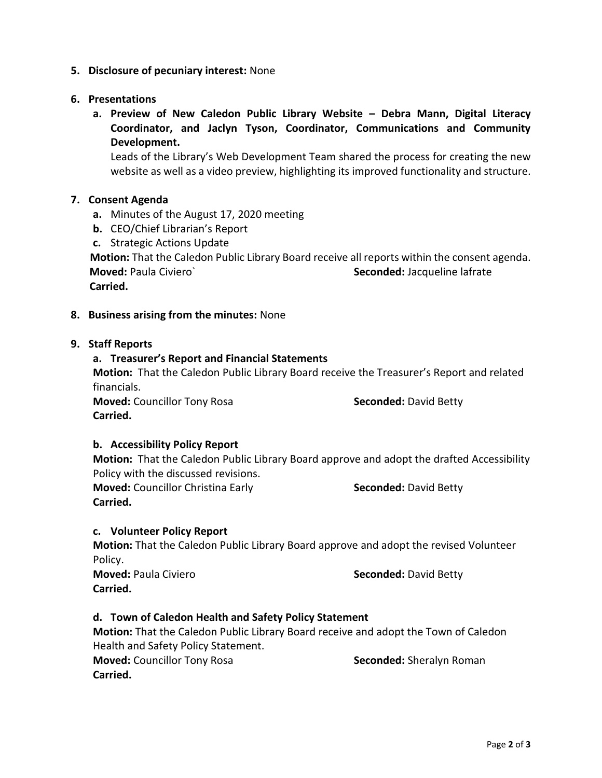# **5. Disclosure of pecuniary interest:** None

## **6. Presentations**

**a. Preview of New Caledon Public Library Website – Debra Mann, Digital Literacy Coordinator, and Jaclyn Tyson, Coordinator, Communications and Community Development.** 

Leads of the Library's Web Development Team shared the process for creating the new website as well as a video preview, highlighting its improved functionality and structure.

## **7. Consent Agenda**

- **a.** Minutes of the August 17, 2020 meeting
- **b.** CEO/Chief Librarian's Report
- **c.** Strategic Actions Update

**Motion:** That the Caledon Public Library Board receive all reports within the consent agenda. **Moved:** Paula Civiero **Seconded:** Jacqueline lafrate  **Carried.** 

## **8. Business arising from the minutes:** None

## **9. Staff Reports**

## **a. Treasurer's Report and Financial Statements**

**Motion:** That the Caledon Public Library Board receive the Treasurer's Report and related financials.

**Moved:** Councillor Tony Rosa **Seconded:** David Betty **Carried.**

## **b. Accessibility Policy Report**

**Motion:** That the Caledon Public Library Board approve and adopt the drafted Accessibility Policy with the discussed revisions.

**Moved:** Councillor Christina Early **Seconded:** David Betty **Carried.** 

# **c. Volunteer Policy Report**

**Motion:** That the Caledon Public Library Board approve and adopt the revised Volunteer Policy.

**Moved:** Paula Civiero **Seconded:** David Betty **Carried.**

# **d. Town of Caledon Health and Safety Policy Statement**

**Motion:** That the Caledon Public Library Board receive and adopt the Town of Caledon Health and Safety Policy Statement. **Moved:** Councillor Tony Rosa **Seconded:** Sheralyn Roman **Carried.**